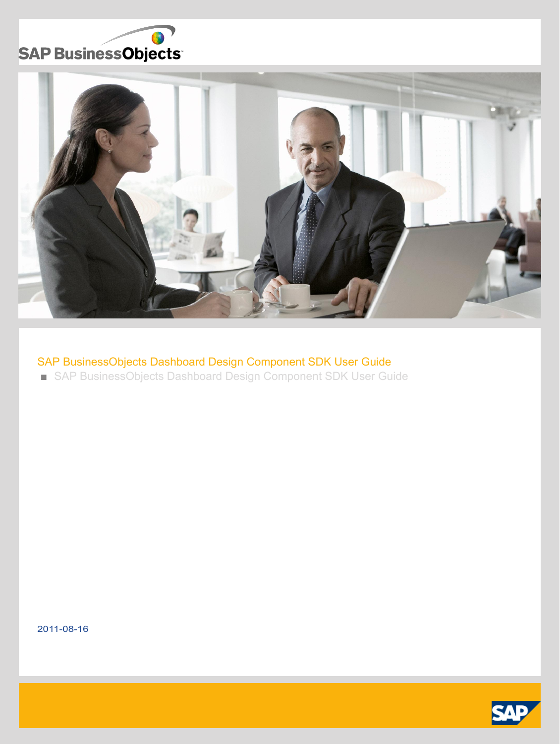



# SAP BusinessObjects Dashboard Design Component SDK User Guide

■ SAP BusinessObjects Dashboard Design Component SDK User Guide

2011-08-16

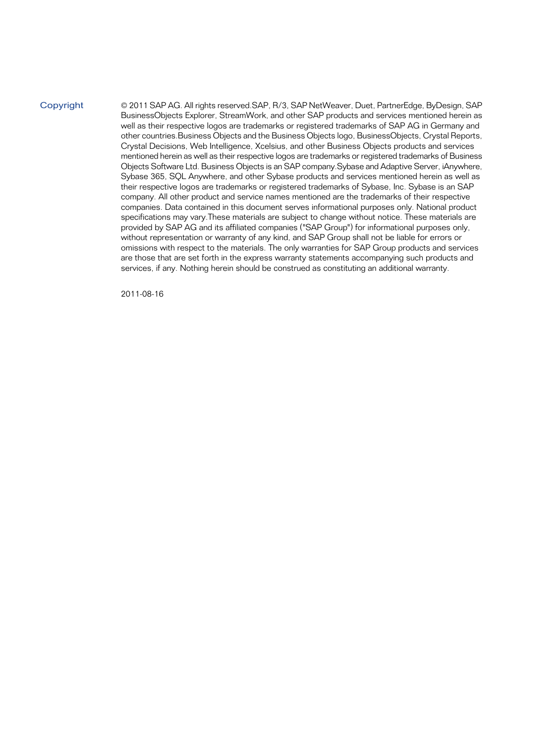#### Copyright

© 2011 SAP AG. All rights reserved.SAP, R/3, SAP NetWeaver, Duet, PartnerEdge, ByDesign, SAP BusinessObjects Explorer, StreamWork, and other SAP products and services mentioned herein as well as their respective logos are trademarks or registered trademarks of SAP AG in Germany and other countries.Business Objects and the Business Objects logo, BusinessObjects, Crystal Reports, Crystal Decisions, Web Intelligence, Xcelsius, and other Business Objects products and services mentioned herein as well as their respective logos are trademarks or registered trademarks of Business Objects Software Ltd. Business Objects is an SAP company.Sybase and Adaptive Server, iAnywhere, Sybase 365, SQL Anywhere, and other Sybase products and services mentioned herein as well as their respective logos are trademarks or registered trademarks of Sybase, Inc. Sybase is an SAP company. All other product and service names mentioned are the trademarks of their respective companies. Data contained in this document serves informational purposes only. National product specifications may vary.These materials are subject to change without notice. These materials are provided by SAP AG and its affiliated companies ("SAP Group") for informational purposes only, without representation or warranty of any kind, and SAP Group shall not be liable for errors or omissions with respect to the materials. The only warranties for SAP Group products and services are those that are set forth in the express warranty statements accompanying such products and services, if any. Nothing herein should be construed as constituting an additional warranty.

2011-08-16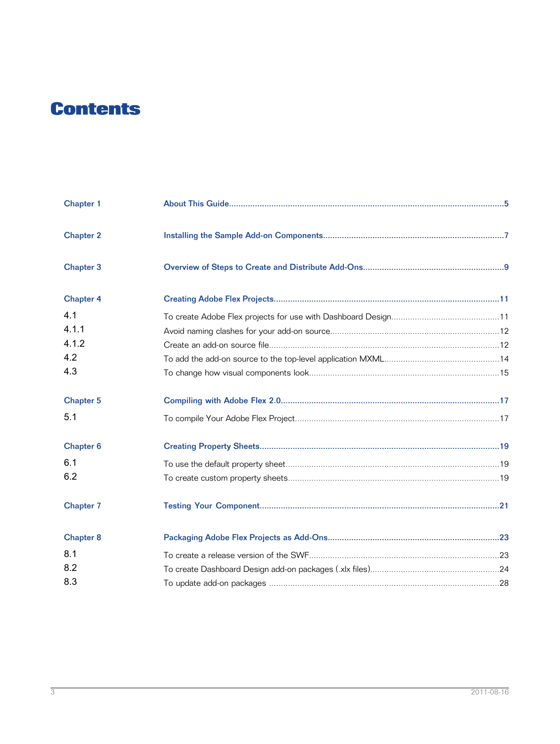# **Contents**

| Chapter 1            |  |
|----------------------|--|
| <b>Chapter 2</b>     |  |
| Chapter 3            |  |
| <b>Chapter 4</b>     |  |
| 4.1                  |  |
| 4.1.1                |  |
| 4.1.2                |  |
| 4.2                  |  |
| 4.3                  |  |
| <b>Chapter 5</b>     |  |
| 5.1                  |  |
| Chapter <sub>6</sub> |  |
| 6.1                  |  |
| 6.2                  |  |
| <b>Chapter 7</b>     |  |
| <b>Chapter 8</b>     |  |
| 8.1                  |  |
| 8.2                  |  |
| 8.3                  |  |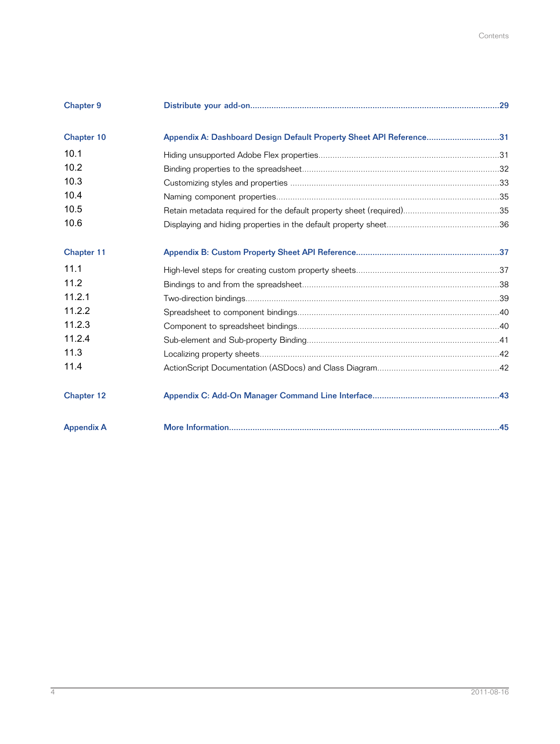| <b>Chapter 9</b>  |                                                                     |  |
|-------------------|---------------------------------------------------------------------|--|
| Chapter 10        | Appendix A: Dashboard Design Default Property Sheet API Reference31 |  |
| 10.1              |                                                                     |  |
| 10.2              |                                                                     |  |
| 10.3              |                                                                     |  |
| 10.4              |                                                                     |  |
| 10.5              |                                                                     |  |
| 10.6              |                                                                     |  |
| Chapter 11        |                                                                     |  |
| 11.1              |                                                                     |  |
| 11.2              |                                                                     |  |
| 11.2.1            |                                                                     |  |
| 11.2.2            |                                                                     |  |
| 11.2.3            |                                                                     |  |
| 11.2.4            |                                                                     |  |
| 11.3              |                                                                     |  |
| 11.4              |                                                                     |  |
| <b>Chapter 12</b> |                                                                     |  |
| <b>Appendix A</b> |                                                                     |  |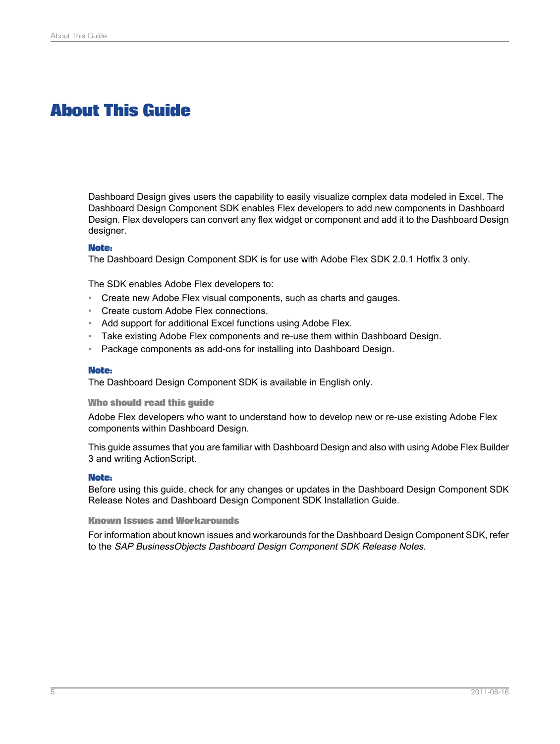# **About This Guide**

<span id="page-4-0"></span>Dashboard Design gives users the capability to easily visualize complex data modeled in Excel. The Dashboard Design Component SDK enables Flex developers to add new components in Dashboard Design. Flex developers can convert any flex widget or component and add it to the Dashboard Design designer.

### **Note:**

The Dashboard Design Component SDK is for use with Adobe Flex SDK 2.0.1 Hotfix 3 only.

The SDK enables Adobe Flex developers to:

- Create new Adobe Flex visual components, such as charts and gauges.
- Create custom Adobe Flex connections.
- Add support for additional Excel functions using Adobe Flex.
- Take existing Adobe Flex components and re-use them within Dashboard Design.
- Package components as add-ons for installing into Dashboard Design.

#### **Note:**

The Dashboard Design Component SDK is available in English only.

#### **Who should read this guide**

Adobe Flex developers who want to understand how to develop new or re-use existing Adobe Flex components within Dashboard Design.

This guide assumes that you are familiar with Dashboard Design and also with using Adobe Flex Builder 3 and writing ActionScript.

### **Note:**

Before using this guide, check for any changes or updates in the Dashboard Design Component SDK Release Notes and Dashboard Design Component SDK Installation Guide.

#### **Known Issues and Workarounds**

For informationabout knownissuesand workarounds for the Dashboard Design Component SDK, refer to the SAP BusinessObjects Dashboard Design Component SDK Release Notes.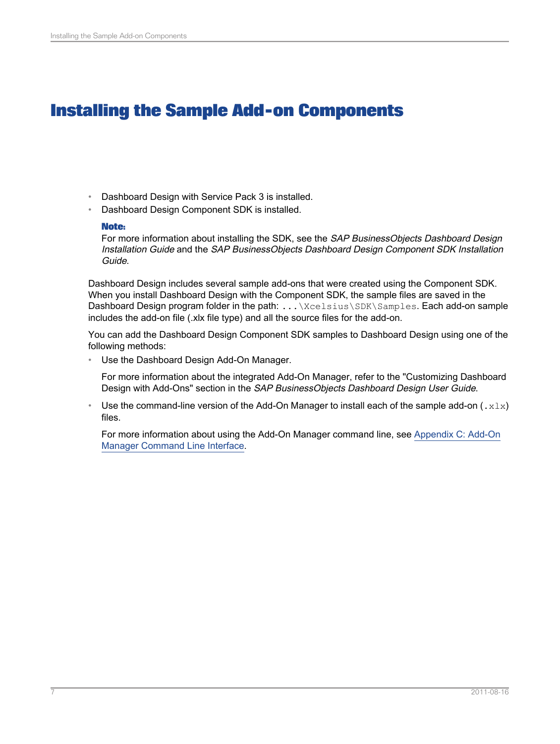# **Installing the Sample Add-on Components**

- <span id="page-6-0"></span>• Dashboard Design with Service Pack 3 is installed.
- Dashboard Design Component SDK is installed.

## **Note:**

For more information about installing the SDK, see the SAP BusinessObjects Dashboard Design Installation Guide and the SAP BusinessObjects Dashboard Design Component SDK Installation Guide.

Dashboard Design includes several sample add-ons that were created using the Component SDK. When you install Dashboard Design with the Component SDK, the sample files are saved in the Dashboard Design program folder in the path: . . . \Xcelsius\SDK\Samples. Each add-on sample includes the add-on file (.xlx file type) and all the source files for the add-on.

You can add the Dashboard Design Component SDK samples to Dashboard Design using one of the following methods:

• Use the Dashboard Design Add-On Manager.

For more information about the integrated Add-On Manager, refer to the "Customizing Dashboard Design with Add-Ons" section in the SAP BusinessObjects Dashboard Design User Guide.

Use the command-line version of the Add-On Manager to install each of the sample add-on  $(.x1x)$ files.

For more information about using the Add-On Manager command line, see [Appendix](#page-42-0) C: Add-On Manager [Command](#page-42-0) Line Interface.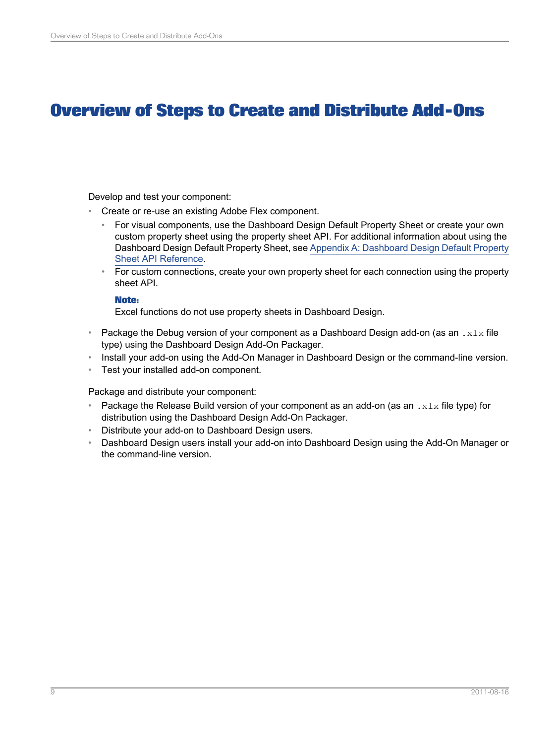# **Overview of Steps to Create and Distribute Add-Ons**

<span id="page-8-0"></span>Develop and test your component:

- Create or re-use an existing Adobe Flex component.
	- For visual components, use the Dashboard Design Default Property Sheet or create your own custom property sheet using the property sheet API. For additional information about using the Dashboard Design Default Property Sheet, see Appendix A: [Dashboard](#page-30-0) Design Default Property Sheet API [Reference](#page-30-0).
	- For custom connections, create your own property sheet for each connection using the property sheet API.

## **Note:**

Excel functions do not use property sheets in Dashboard Design.

- Package the Debug version of your component as a Dashboard Design add-on (as an .  $x1x$  file type) using the Dashboard Design Add-On Packager.
- Install your add-on using the Add-On Manager in Dashboard Design or the command-line version.
- Test your installed add-on component.

Package and distribute your component:

- Package the Release Build version of your component as an add-on (as an  $.x1x$  file type) for distribution using the Dashboard Design Add-On Packager.
- Distribute your add-on to Dashboard Design users.
- Dashboard Design users install your add-on into Dashboard Design using the Add-On Manager or the command-line version.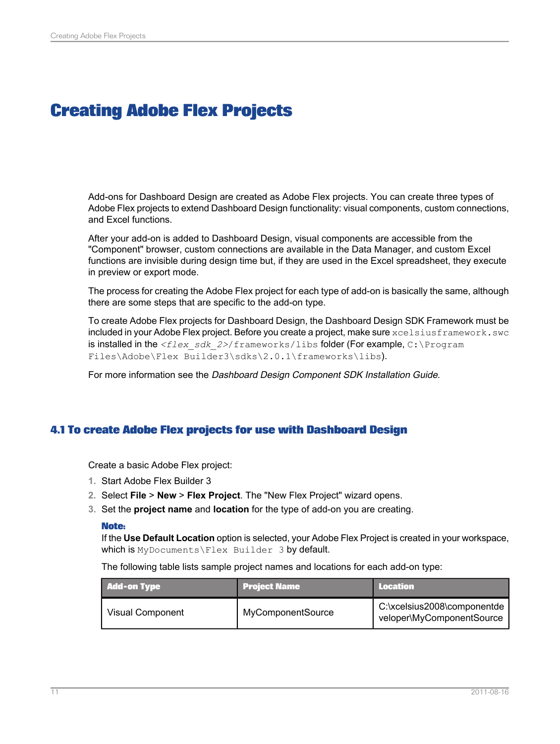# **Creating Adobe Flex Projects**

<span id="page-10-0"></span>Add-ons for Dashboard Design are created as Adobe Flex projects. You can create three types of Adobe Flex projects to extend Dashboard Design functionality: visual components, custom connections, and Excel functions.

After your add-on is added to Dashboard Design, visual components are accessible from the "Component" browser, custom connections are available in the Data Manager, and custom Excel functions are invisible during design time but, if they are used in the Excel spreadsheet, they execute in preview or export mode.

The process for creating the Adobe Flex project for each type of add-on is basically the same, although there are some steps that are specific to the add-on type.

To create Adobe Flex projects for Dashboard Design, the Dashboard Design SDK Framework must be included in your Adobe Flex project. Before you create a project, make sure xcelsiusframework.swc is installed in the *<flex\_sdk\_2>*/frameworks/libs folder (For example, C:\Program Files\Adobe\Flex Builder3\sdks\2.0.1\frameworks\libs).

For more information see the Dashboard Design Component SDK Installation Guide.

## <span id="page-10-1"></span>**4.1 To create Adobe Flex projects for use with Dashboard Design**

Create a basic Adobe Flex project:

- **1.** Start Adobe Flex Builder 3
- **2.** Select **File** > **New** > **Flex Project**. The "New Flex Project" wizard opens.
- **3.** Set the **project name** and **location** for the type of add-on you are creating.

### **Note:**

If the **Use Default Location** option is selected, your Adobe Flex Project is created in your workspace, which is MyDocuments\Flex Builder 3 by default.

The following table lists sample project names and locations for each add-on type:

| <b>Add-on Type</b> | <b>Project Name</b> | <b>Location</b>                                          |
|--------------------|---------------------|----------------------------------------------------------|
| Visual Component   | MyComponentSource   | C:\xcelsius2008\componentde<br>veloper\MyComponentSource |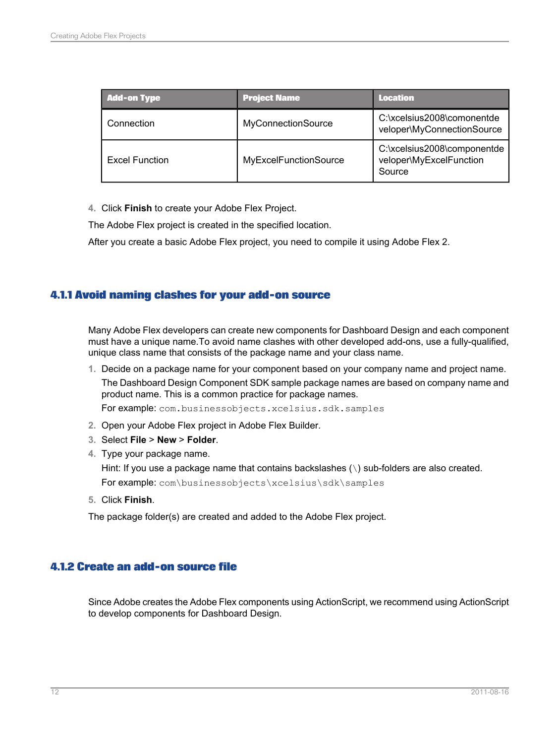| <b>Add-on Type</b>    | <b>Project Name</b>   | <b>Location</b>                                                  |
|-----------------------|-----------------------|------------------------------------------------------------------|
| Connection            | MyConnectionSource    | C:\xcelsius2008\comonentde<br>veloper\MyConnectionSource         |
| <b>Excel Function</b> | MyExcelFunctionSource | C:\xcelsius2008\componentde<br>veloper\MyExcelFunction<br>Source |

**4.** Click **Finish** to create your Adobe Flex Project.

The Adobe Flex project is created in the specified location.

After you create a basic Adobe Flex project, you need to compile it using Adobe Flex 2.

## <span id="page-11-0"></span>**4.1.1 Avoid naming clashes for your add-on source**

Many Adobe Flex developers can create new components for Dashboard Design and each component must have a unique name.To avoid name clashes with other developed add-ons, use a fully-qualified, unique class name that consists of the package name and your class name.

**1.** Decide on a package name for your component based on your company name and project name. The Dashboard Design Component SDK sample package names are based on company name and product name. This is a common practice for package names.

For example: com.businessobjects.xcelsius.sdk.samples

- **2.** Open your Adobe Flex project in Adobe Flex Builder.
- **3.** Select **File** > **New** > **Folder**.
- **4.** Type your package name.

Hint: If you use a package name that contains backslashes (\) sub-folders are also created.

For example: com\businessobjects\xcelsius\sdk\samples

**5.** Click **Finish**.

<span id="page-11-1"></span>The package folder(s) are created and added to the Adobe Flex project.

## **4.1.2 Create an add-on source file**

Since Adobe creates the Adobe Flex components using ActionScript, we recommend using ActionScript to develop components for Dashboard Design.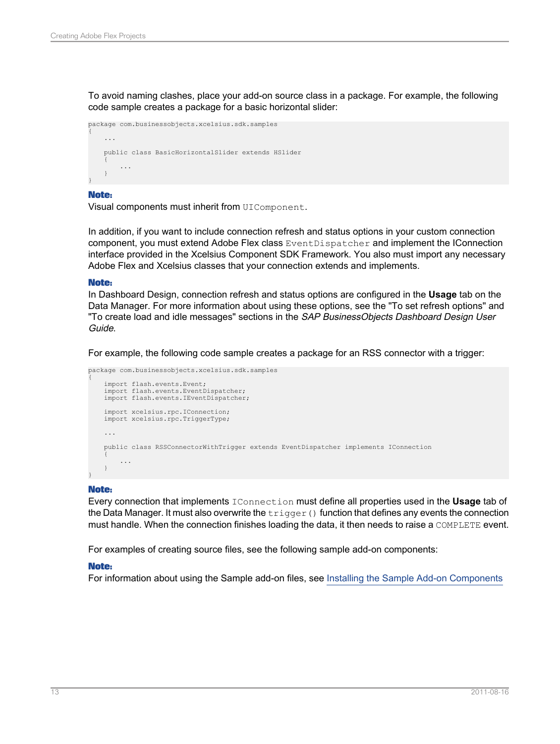To avoid naming clashes, place your add-on source class in a package. For example, the following code sample creates a package for a basic horizontal slider:

```
package com.businessobjects.xcelsius.sdk.samples
{
    ...
   public class BasicHorizontalSlider extends HSlider
    {
        ...
    }
}
```
### **Note:**

Visual components must inherit from UIComponent.

In addition, if you want to include connection refresh and status options in your custom connection component, you must extend Adobe Flex class EventDispatcher and implement the IConnection interface provided in the Xcelsius Component SDK Framework. You also must import any necessary Adobe Flex and Xcelsius classes that your connection extends and implements.

### **Note:**

In Dashboard Design, connection refresh and status options are configured in the **Usage** tab on the Data Manager. For more information about using these options, see the "To set refresh options" and "To create load and idle messages" sections in the SAP BusinessObjects Dashboard Design User Guide.

For example, the following code sample creates a package for an RSS connector with a trigger:

```
package com.businessobjects.xcelsius.sdk.samples
{
    import flash.events.Event;
    import flash.events.EventDispatcher;
   import flash.events.IEventDispatcher;
    import xcelsius.rpc.IConnection;
   import xcelsius.rpc.TriggerType;
    ...
    public class RSSConnectorWithTrigger extends EventDispatcher implements IConnection
    {
        ...
    }
}
```
### **Note:**

Every connection that implements IConnection must define all properties used in the **Usage** tab of the Data Manager. It must also overwrite the  $\text{trigger}$  () function that defines any events the connection must handle. When the connection finishes loading the data, it then needs to raise a COMPLETE event.

For examples of creating source files, see the following sample add-on components:

## **Note:**

For information about using the Sample add-on files, see Installing the Sample Add-on [Components](#page-6-0)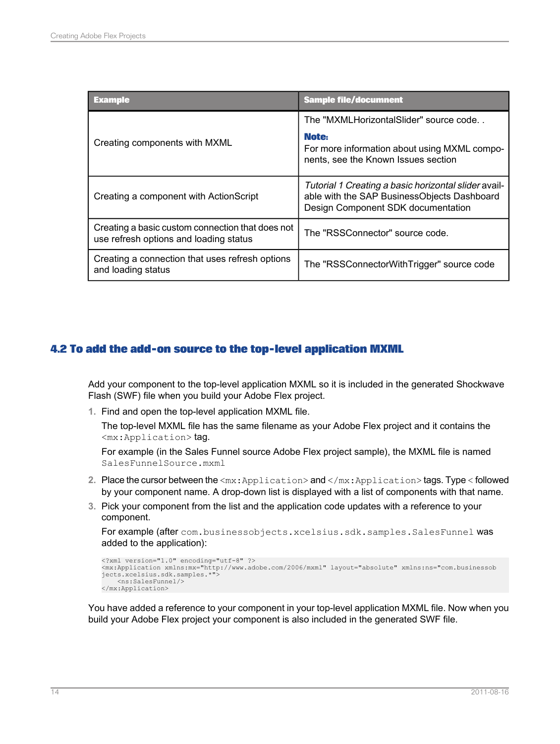| Example                                                                                    | <b>Sample file/documnent</b>                                                                                                              |
|--------------------------------------------------------------------------------------------|-------------------------------------------------------------------------------------------------------------------------------------------|
|                                                                                            | The "MXMLHorizontalSlider" source code                                                                                                    |
| Creating components with MXML                                                              | Note:<br>For more information about using MXML compo-<br>nents, see the Known Issues section                                              |
| Creating a component with ActionScript                                                     | Tutorial 1 Creating a basic horizontal slider avail-<br>able with the SAP BusinessObjects Dashboard<br>Design Component SDK documentation |
| Creating a basic custom connection that does not<br>use refresh options and loading status | The "RSSConnector" source code.                                                                                                           |
| Creating a connection that uses refresh options<br>and loading status                      | The "RSSConnectorWithTrigger" source code                                                                                                 |

# <span id="page-13-0"></span>**4.2 To add the add-on source to the top-level application MXML**

Add your component to the top-level application MXML so it is included in the generated Shockwave Flash (SWF) file when you build your Adobe Flex project.

**1.** Find and open the top-level application MXML file.

The top-level MXML file has the same filename as your Adobe Flex project and it contains the <mx:Application> tag.

For example (in the Sales Funnel source Adobe Flex project sample), the MXML file is named SalesFunnelSource.mxml

- **2.** Place the cursor between the  $\langle mx:Application \rangle$  and  $\langle /mx:Application \rangle$  tags. Type  $\langle$  followed by your component name. A drop-down list is displayed with a list of components with that name.
- **3.** Pick your component from the list and the application code updates with a reference to your component.

```
For example (after com.businessobjects.xcelsius.sdk.samples.SalesFunnel was
added to the application):
```

```
<?xml version="1.0" encoding="utf-8" ?>
<mx:Application xmlns:mx="http://www.adobe.com/2006/mxml" layout="absolute" xmlns:ns="com.businessob
jects.xcelsius.sdk.samples.*">
    <ns:SalesFunnel/>
</mx:Application>
```
You have added a reference to your component in your top-level application MXML file. Now when you build your Adobe Flex project your component is also included in the generated SWF file.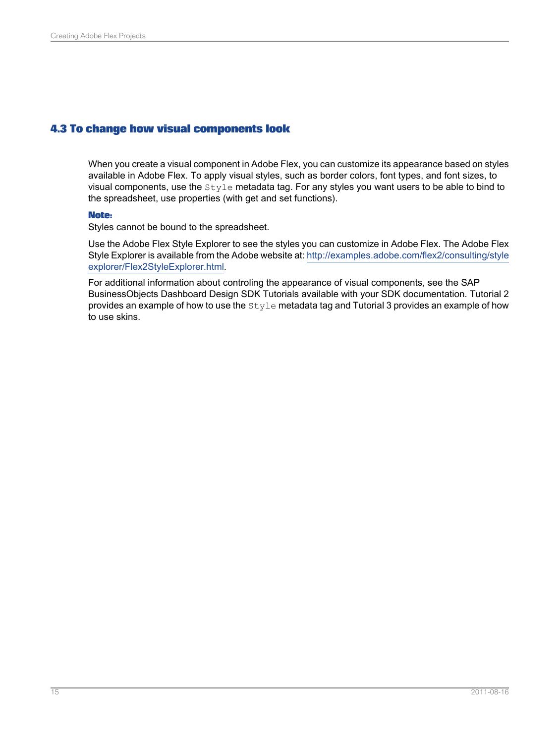## <span id="page-14-0"></span>**4.3 To change how visual components look**

When you create a visual component in Adobe Flex, you can customize its appearance based on styles available in Adobe Flex. To apply visual styles, such as border colors, font types, and font sizes, to visual components, use the Style metadata tag. For any styles you want users to be able to bind to the spreadsheet, use properties (with get and set functions).

## **Note:**

Styles cannot be bound to the spreadsheet.

Use the Adobe Flex Style Explorer to see the styles you can customize in Adobe Flex. The Adobe Flex Style Explorer is available from the Adobe website at: [http://examples.adobe.com/flex2/consulting/style](http://examples.adobe.com/flex2/consulting/styleexplorer/Flex2StyleExplorer.html) [explorer/Flex2StyleExplorer.html](http://examples.adobe.com/flex2/consulting/styleexplorer/Flex2StyleExplorer.html).

For additional information about controling the appearance of visual components, see the SAP BusinessObjects Dashboard Design SDK Tutorials available with your SDK documentation. Tutorial 2 provides an example of how to use the Style metadata tag and Tutorial 3 provides an example of how to use skins.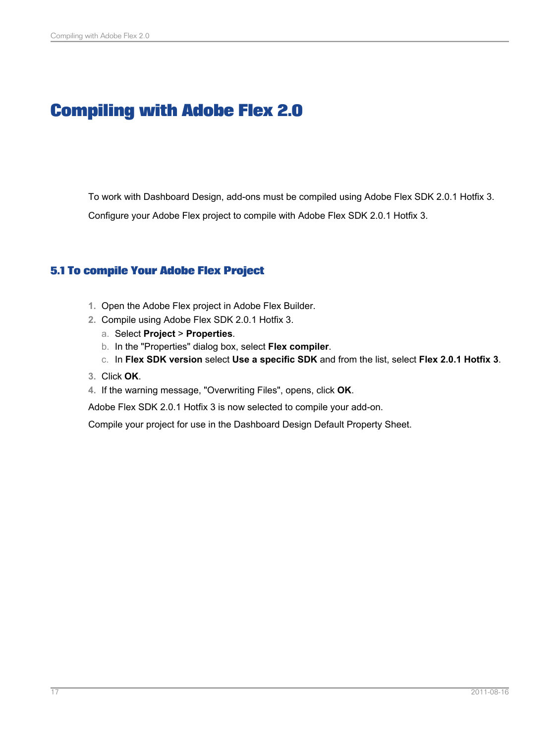# **Compiling with Adobe Flex 2.0**

<span id="page-16-0"></span>To work with Dashboard Design, add-ons must be compiled using Adobe Flex SDK 2.0.1 Hotfix 3. Configure your Adobe Flex project to compile with Adobe Flex SDK 2.0.1 Hotfix 3.

# <span id="page-16-1"></span>**5.1 To compile Your Adobe Flex Project**

- **1.** Open the Adobe Flex project in Adobe Flex Builder.
- **2.** Compile using Adobe Flex SDK 2.0.1 Hotfix 3.
	- a. Select **Project** > **Properties**.
	- b. In the "Properties" dialog box, select **Flex compiler**.
	- c. In **Flex SDK version** select **Use a specific SDK** and from the list, select **Flex 2.0.1 Hotfix 3**.
- **3.** Click **OK**.
- **4.** If the warning message, "Overwriting Files", opens, click **OK**.

Adobe Flex SDK 2.0.1 Hotfix 3 is now selected to compile your add-on.

Compile your project for use in the Dashboard Design Default Property Sheet.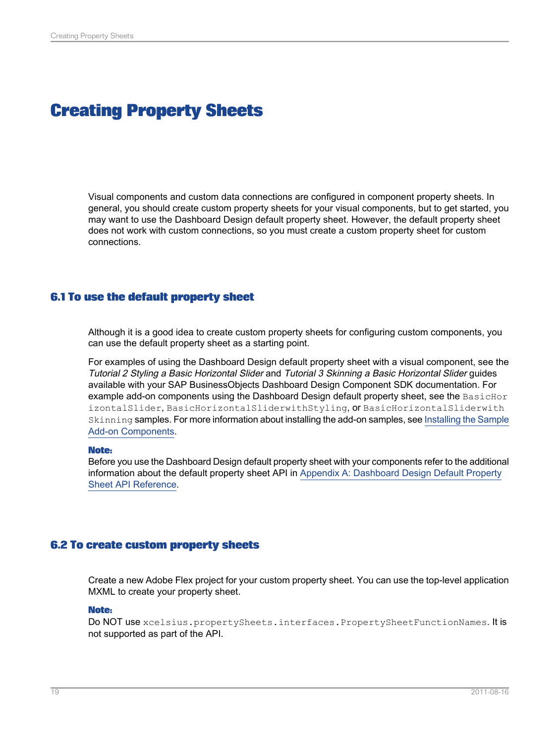# **Creating Property Sheets**

<span id="page-18-0"></span>Visual components and custom data connections are configured in component property sheets. In general, you should create custom property sheets for your visual components, but to get started, you may want to use the Dashboard Design default property sheet. However, the default property sheet does not work with custom connections, so you must create a custom property sheet for custom connections.

## <span id="page-18-1"></span>**6.1 To use the default property sheet**

Although it is a good idea to create custom property sheets for configuring custom components, you can use the default property sheet as a starting point.

For examples of using the Dashboard Design default property sheet with a visual component, see the Tutorial 2 Styling <sup>a</sup> Basic Horizontal Slider and Tutorial 3 Skinning <sup>a</sup> Basic Horizontal Slider guides available with your SAP BusinessObjects Dashboard Design Component SDK documentation. For example add-on components using the Dashboard Design default property sheet, see the BasicHor izontalSlider, BasicHorizontalSliderwithStyling, or BasicHorizontalSliderwith Skinning samples. For more information about installing the add-on samples, see Installing the Sample Add-on [Components.](#page-6-0)

### **Note:**

<span id="page-18-2"></span>Before you use the Dashboard Design default property sheet with your components refer to the additional information about the default property sheet API in Appendix A: [Dashboard](#page-30-0) Design Default Property Sheet API [Reference.](#page-30-0)

## **6.2 To create custom property sheets**

Create a new Adobe Flex project for your custom property sheet. You can use the top-level application MXML to create your property sheet.

### **Note:**

Do NOT use xcelsius.propertySheets.interfaces.PropertySheetFunctionNames. It is not supported as part of the API.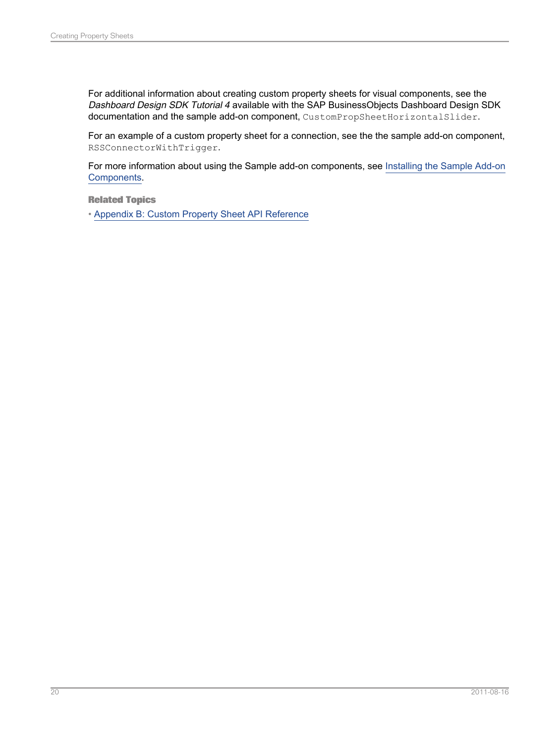For additional information about creating custom property sheets for visual components, see the Dashboard Design SDK Tutorial 4 available with the SAP BusinessObjects Dashboard Design SDK documentation and the sample add-on component, CustomPropSheetHorizontalSlider.

For an example of a custom property sheet for a connection, see the the sample add-on component, RSSConnectorWithTrigger.

For more information about using the Sample add-on components, see [Installing](#page-6-0) the Sample Add-on [Components](#page-6-0).

**Related Topics**

• Appendix B: Custom Property Sheet API [Reference](#page-36-0)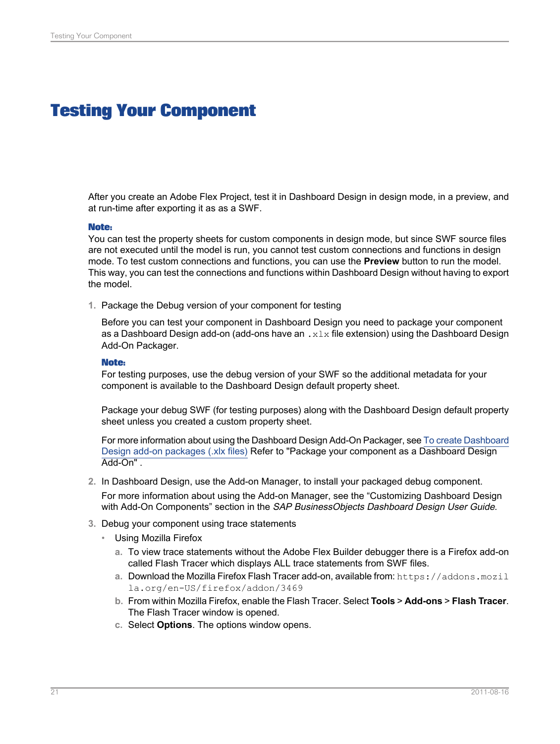# **Testing Your Component**

<span id="page-20-0"></span>After you create an Adobe Flex Project, test it in Dashboard Design in design mode, in a preview, and at run-time after exporting it as as a SWF.

### **Note:**

You can test the property sheets for custom components in design mode, but since SWF source files are not executed until the model is run, you cannot test custom connections and functions in design mode. To test custom connections and functions, you can use the **Preview** button to run the model. This way, you can test the connections and functions within Dashboard Design without having to export the model.

**1.** Package the Debug version of your component for testing

Before you can test your component in Dashboard Design you need to package your component as a Dashboard Design add-on (add-ons have an  $\cdot x \perp x$  file extension) using the Dashboard Design Add-On Packager.

### **Note:**

For testing purposes, use the debug version of your SWF so the additional metadata for your component is available to the Dashboard Design default property sheet.

Package your debug SWF (for testing purposes) along with the Dashboard Design default property sheet unless you created a custom property sheet.

For more information about using the [Dashboard](#page-23-0) Design Add-On Packager, see To create Dashboard Design add-on [packages](#page-23-0) (.xlx files) Refer to "Package your component as a Dashboard Design Add-On" .

- **2.** In Dashboard Design, use the Add-on Manager, to install your packaged debug component. For more information about using the Add-on Manager, see the "Customizing Dashboard Design with Add-On Components" section in the SAP BusinessObjects Dashboard Design User Guide.
- **3.** Debug your component using trace statements
	- Using Mozilla Firefox
		- **a.** To view trace statements without the Adobe Flex Builder debugger there is a Firefox add-on called Flash Tracer which displays ALL trace statements from SWF files.
		- **a.** Download the Mozilla Firefox Flash Tracer add-on, available from: https://addons.mozil la.org/en-US/firefox/addon/3469
		- **b.** From within Mozilla Firefox, enable the Flash Tracer. Select **Tools** > **Add-ons** > **Flash Tracer**. The Flash Tracer window is opened.
		- **c.** Select **Options**. The options window opens.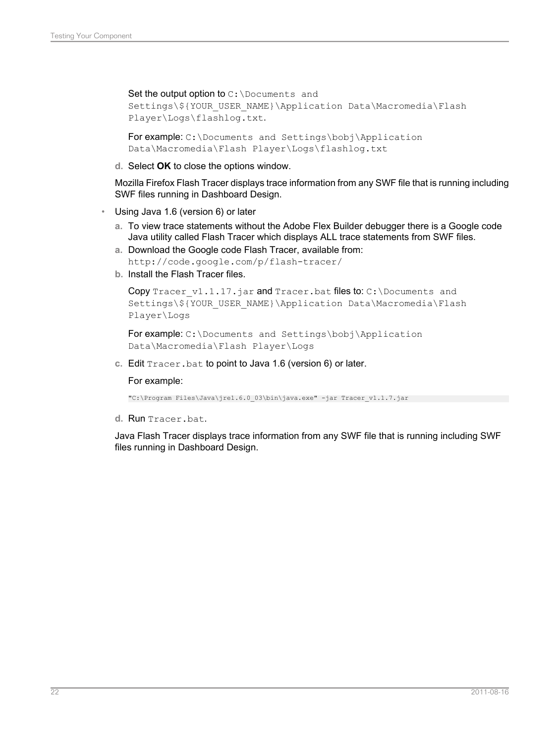Set the output option to  $C: \D$ ocuments and Settings\\${YOUR\_USER\_NAME}\Application Data\Macromedia\Flash Player\Logs\flashlog.txt.

For example: C:\Documents and Settings\bobj\Application Data\Macromedia\Flash Player\Logs\flashlog.txt

**d.** Select **OK** to close the options window.

Mozilla Firefox Flash Tracer displays trace information from any SWF file that is running including SWF files running in Dashboard Design.

- Using Java 1.6 (version 6) or later
	- **a.** To view trace statements without the Adobe Flex Builder debugger there is a Google code Java utility called Flash Tracer which displays ALL trace statements from SWF files.
	- **a.** Download the Google code Flash Tracer, available from: http://code.google.com/p/flash-tracer/
	- **b.** Install the Flash Tracer files.

```
Copy Tracer v1.1.17.jar and Tracer.bat files to: C:\Documents and
Settings\${YOUR_USER_NAME}\Application Data\Macromedia\Flash
Player\Logs
```

```
For example: C:\Documents and Settings\bobj\Application
Data\Macromedia\Flash Player\Logs
```
**c.** Edit Tracer.bat to point to Java 1.6 (version 6) or later.

### For example:

"C:\Program Files\Java\jre1.6.0\_03\bin\java.exe" -jar Tracer\_v1.1.7.jar

**d.** Run Tracer.bat.

Java Flash Tracer displays trace information from any SWF file that is running including SWF files running in Dashboard Design.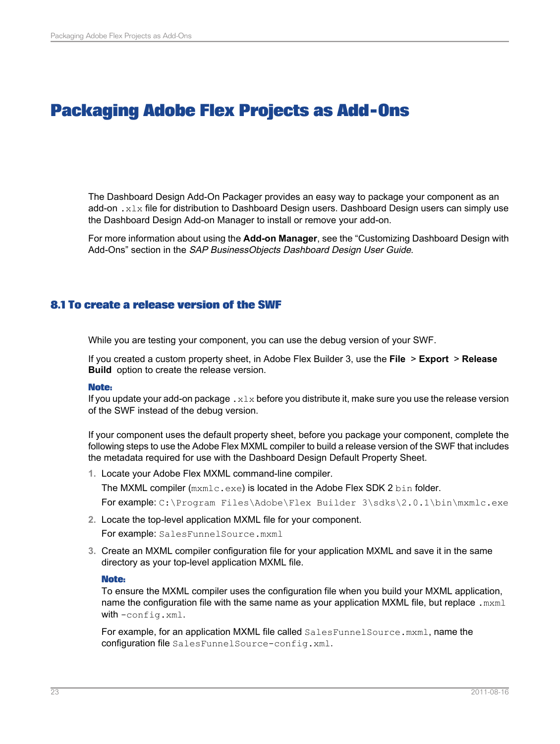# **Packaging Adobe Flex Projects as Add-Ons**

<span id="page-22-0"></span>The Dashboard Design Add-On Packager provides an easy way to package your component as an add-on  $. x1x$  file for distribution to Dashboard Design users. Dashboard Design users can simply use the Dashboard Design Add-on Manager to install or remove your add-on.

For more information about using the **Add-on Manager**, see the "Customizing Dashboard Design with Add-Ons" section in the SAP BusinessObjects Dashboard Design User Guide.

# <span id="page-22-1"></span>**8.1 To create a release version of the SWF**

While you are testing your component, you can use the debug version of your SWF.

If you created a custom property sheet, in Adobe Flex Builder 3, use the **File** > **Export** > **Release Build** option to create the release version.

## **Note:**

If you update your add-on package  $. x \&i x$  before you distribute it, make sure you use the release version of the SWF instead of the debug version.

If your component uses the default property sheet, before you package your component, complete the following steps to use the Adobe Flex MXML compiler to build a release version of the SWF that includes the metadata required for use with the Dashboard Design Default Property Sheet.

**1.** Locate your Adobe Flex MXML command-line compiler.

The MXML compiler ( $mxm1c$ .exe) is located in the Adobe Flex SDK 2 bin folder.

For example: C:\Program Files\Adobe\Flex Builder 3\sdks\2.0.1\bin\mxmlc.exe

**2.** Locate the top-level application MXML file for your component.

For example: SalesFunnelSource.mxml

**3.** Create an MXML compiler configuration file for your application MXML and save it in the same directory as your top-level application MXML file.

### **Note:**

To ensure the MXML compiler uses the configuration file when you build your MXML application, name the configuration file with the same name as your application MXML file, but replace .mxml with -config.xml.

For example, for an application MXML file called SalesFunnelSource.mxml, name the configuration file SalesFunnelSource-config.xml.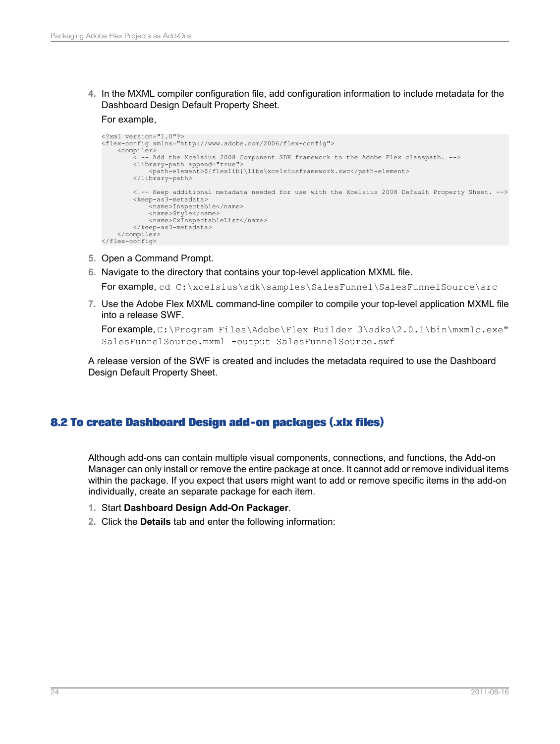**4.** In the MXML compiler configuration file, add configuration information to include metadata for the Dashboard Design Default Property Sheet.

### For example,

```
<?xml version="1.0"?>
<flex-config xmlns="http://www.adobe.com/2006/flex-config">
    <compiler>
        .<br><!-- Add the Xcelsius 2008 Component SDK framework to the Adobe Flex classpath. -->
        <library-path append="true">
            <path-element>${flexlib}\libs\xcelsiusframework.swc</path-element>
        </library-path>
        <!-- Keep additional metadata needed for use with the Xcelsius 2008 Default Property Sheet. -->
        <keep-as3-metadata>
<name>Inspectable</name>
            <name>Style</name>
            <name>CxInspectableList</name>
        </keep-as3-metadata>
</compiler>
</flex-config>
```
- **5.** Open a Command Prompt.
- **6.** Navigate to the directory that contains your top-level application MXML file.

For example, cd C:\xcelsius\sdk\samples\SalesFunnel\SalesFunnelSource\src

**7.** Use the Adobe Flex MXML command-line compiler to compile your top-level application MXML file into a release SWF.

```
Forexample, C:\Program Files\Adobe\Flex Builder 3\sdks\2.0.1\bin\mxmlc.exe"
SalesFunnelSource.mxml -output SalesFunnelSource.swf
```
A release version of the SWF is created and includes the metadata required to use the Dashboard Design Default Property Sheet.

# <span id="page-23-0"></span>**8.2 To create Dashboard Design add-on packages (.xlx files)**

Although add-ons can contain multiple visual components, connections, and functions, the Add-on Manager can only install or remove the entire package at once. It cannot add or remove individual items within the package. If you expect that users might want to add or remove specific items in the add-on individually, create an separate package for each item.

- **1.** Start **Dashboard Design Add-On Packager**.
- **2.** Click the **Details** tab and enter the following information: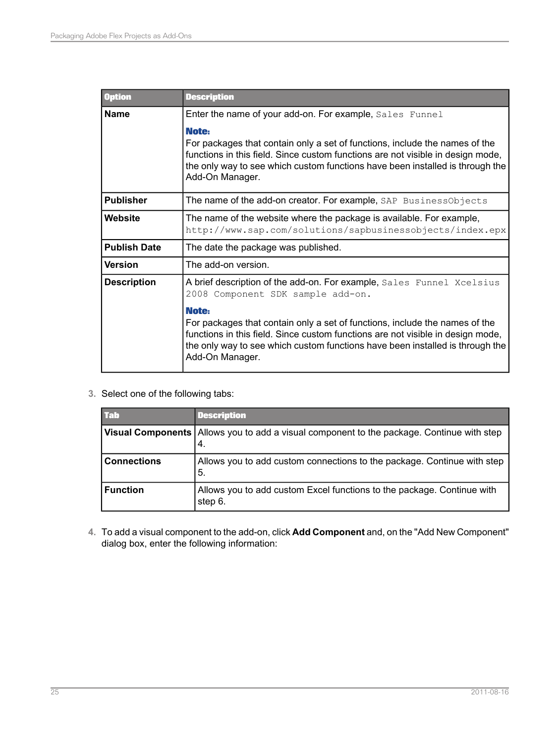| <b>Option</b>       | <b>Description</b>                                                                                                                                                                                                                                                          |  |
|---------------------|-----------------------------------------------------------------------------------------------------------------------------------------------------------------------------------------------------------------------------------------------------------------------------|--|
| <b>Name</b>         | Enter the name of your add-on. For example, Sales Funnel                                                                                                                                                                                                                    |  |
|                     | Note:<br>For packages that contain only a set of functions, include the names of the<br>functions in this field. Since custom functions are not visible in design mode,<br>the only way to see which custom functions have been installed is through the<br>Add-On Manager. |  |
| <b>Publisher</b>    | The name of the add-on creator. For example, SAP BusinessObjects                                                                                                                                                                                                            |  |
| Website             | The name of the website where the package is available. For example,<br>http://www.sap.com/solutions/sapbusinessobjects/index.epx                                                                                                                                           |  |
| <b>Publish Date</b> | The date the package was published.                                                                                                                                                                                                                                         |  |
| <b>Version</b>      | The add-on version.                                                                                                                                                                                                                                                         |  |
| <b>Description</b>  | A brief description of the add-on. For example, Sales Funnel Xcelsius<br>2008 Component SDK sample add-on.                                                                                                                                                                  |  |
|                     | Note:<br>For packages that contain only a set of functions, include the names of the<br>functions in this field. Since custom functions are not visible in design mode,<br>the only way to see which custom functions have been installed is through the<br>Add-On Manager. |  |

**3.** Select one of the following tabs:

| <b>Tab</b>         | <b>Description</b>                                                                                |
|--------------------|---------------------------------------------------------------------------------------------------|
|                    | Visual Components   Allows you to add a visual component to the package. Continue with step<br>4. |
| <b>Connections</b> | Allows you to add custom connections to the package. Continue with step<br>5.                     |
| <b>Function</b>    | Allows you to add custom Excel functions to the package. Continue with<br>step 6.                 |

**4.** Toaddavisual component totheadd-on, click **Add Component**and,onthe"Add New Component" dialog box, enter the following information: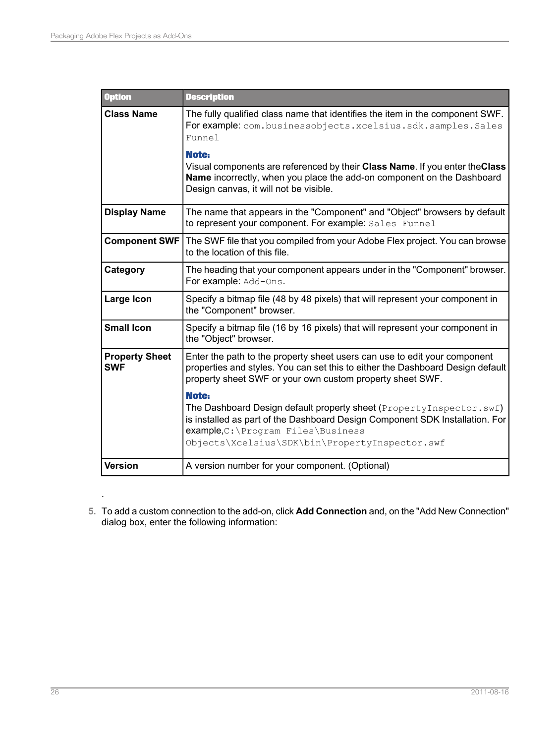| <b>Option</b>                       | <b>Description</b>                                                                                                                                                                                                                                     |
|-------------------------------------|--------------------------------------------------------------------------------------------------------------------------------------------------------------------------------------------------------------------------------------------------------|
| <b>Class Name</b>                   | The fully qualified class name that identifies the item in the component SWF.<br>For example: com.businessobjects.xcelsius.sdk.samples.Sales<br>Funnel                                                                                                 |
|                                     | Note:<br>Visual components are referenced by their Class Name. If you enter the Class<br>Name incorrectly, when you place the add-on component on the Dashboard<br>Design canvas, it will not be visible.                                              |
| <b>Display Name</b>                 | The name that appears in the "Component" and "Object" browsers by default<br>to represent your component. For example: Sales Funnel                                                                                                                    |
| <b>Component SWF</b>                | The SWF file that you compiled from your Adobe Flex project. You can browse<br>to the location of this file.                                                                                                                                           |
| Category                            | The heading that your component appears under in the "Component" browser.<br>For example: Add-Ons.                                                                                                                                                     |
| Large Icon                          | Specify a bitmap file (48 by 48 pixels) that will represent your component in<br>the "Component" browser.                                                                                                                                              |
| <b>Small Icon</b>                   | Specify a bitmap file (16 by 16 pixels) that will represent your component in<br>the "Object" browser.                                                                                                                                                 |
| <b>Property Sheet</b><br><b>SWF</b> | Enter the path to the property sheet users can use to edit your component<br>properties and styles. You can set this to either the Dashboard Design default<br>property sheet SWF or your own custom property sheet SWF.                               |
|                                     | Note:<br>The Dashboard Design default property sheet (PropertyInspector.swf)<br>is installed as part of the Dashboard Design Component SDK Installation. For<br>example, C: \Program Files \Business<br>Objects\Xcelsius\SDK\bin\PropertyInspector.swf |
| <b>Version</b>                      | A version number for your component. (Optional)                                                                                                                                                                                                        |

**5.** Toaddacustom connectiontotheadd-on, click **Add Connection** and,onthe"Add New Connection" dialog box, enter the following information:

.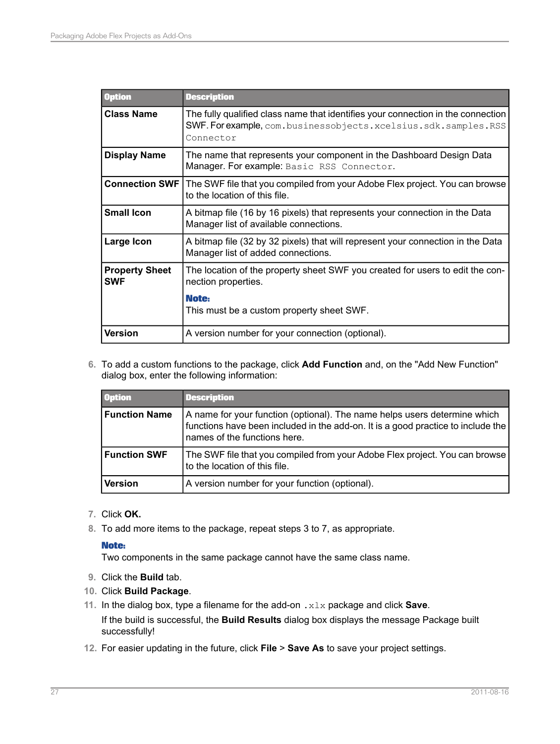| <b>Option</b>                       | <b>Description</b>                                                                                                                                                   |
|-------------------------------------|----------------------------------------------------------------------------------------------------------------------------------------------------------------------|
| <b>Class Name</b>                   | The fully qualified class name that identifies your connection in the connection<br>SWF. For example, com. businessobjects. xcelsius. sdk. samples. RSS<br>Connector |
| <b>Display Name</b>                 | The name that represents your component in the Dashboard Design Data<br>Manager. For example: Basic RSS Connector.                                                   |
| <b>Connection SWF</b>               | The SWF file that you compiled from your Adobe Flex project. You can browse<br>to the location of this file.                                                         |
| <b>Small Icon</b>                   | A bitmap file (16 by 16 pixels) that represents your connection in the Data<br>Manager list of available connections.                                                |
| Large Icon                          | A bitmap file (32 by 32 pixels) that will represent your connection in the Data<br>Manager list of added connections.                                                |
| <b>Property Sheet</b><br><b>SWF</b> | The location of the property sheet SWF you created for users to edit the con-<br>nection properties.                                                                 |
|                                     | Note:<br>This must be a custom property sheet SWF.                                                                                                                   |
| Version                             | A version number for your connection (optional).                                                                                                                     |

**6.** To add a custom functions to the package, click **Add Function** and, on the "Add New Function" dialog box, enter the following information:

| <b>Option</b>        | <b>Description</b>                                                                                                                                                                            |
|----------------------|-----------------------------------------------------------------------------------------------------------------------------------------------------------------------------------------------|
| <b>Function Name</b> | A name for your function (optional). The name helps users determine which<br>functions have been included in the add-on. It is a good practice to include the<br>names of the functions here. |
| <b>Function SWF</b>  | The SWF file that you compiled from your Adobe Flex project. You can browse<br>to the location of this file.                                                                                  |
| <b>Version</b>       | A version number for your function (optional).                                                                                                                                                |

- **7.** Click **OK.**
- **8.** To add more items to the package, repeat steps 3 to 7, as appropriate.

## **Note:**

Two components in the same package cannot have the same class name.

- **9.** Click the **Build** tab.
- **10.** Click **Build Package**.
- **11.** In the dialog box, type a filename for the add-on .xlx package and click **Save**. If the build is successful, the **Build Results** dialog box displays the message Package built successfully!
- **12.** For easier updating in the future, click **File** > **Save As** to save your project settings.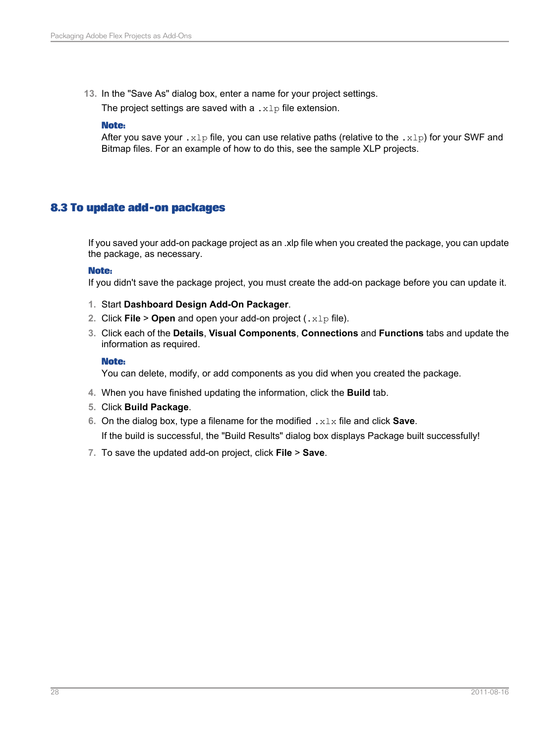**13.** In the "Save As" dialog box, enter a name for your project settings.

The project settings are saved with a  $\cdot \times 1$  file extension.

## **Note:**

After you save your .  $x1p$  file, you can use relative paths (relative to the .  $x1p$ ) for your SWF and Bitmap files. For an example of how to do this, see the sample XLP projects.

# <span id="page-27-0"></span>**8.3 To update add-on packages**

If you saved your add-on package project as an .xlp file when you created the package, you can update the package, as necessary.

## **Note:**

If you didn't save the package project, you must create the add-on package before you can update it.

- **1.** Start **Dashboard Design Add-On Packager**.
- **2.** Click **File** > **Open** and open your add-on project (.xlp file).
- **3.** Click each of the **Details**, **Visual Components**, **Connections** and **Functions** tabs and update the information as required.

## **Note:**

You can delete, modify, or add components as you did when you created the package.

- **4.** When you have finished updating the information, click the **Build** tab.
- **5.** Click **Build Package**.
- **6.** On the dialog box, type a filename for the modified .xlx file and click **Save**. If the build is successful, the "Build Results" dialog box displays Package built successfully!
- **7.** To save the updated add-on project, click **File** > **Save**.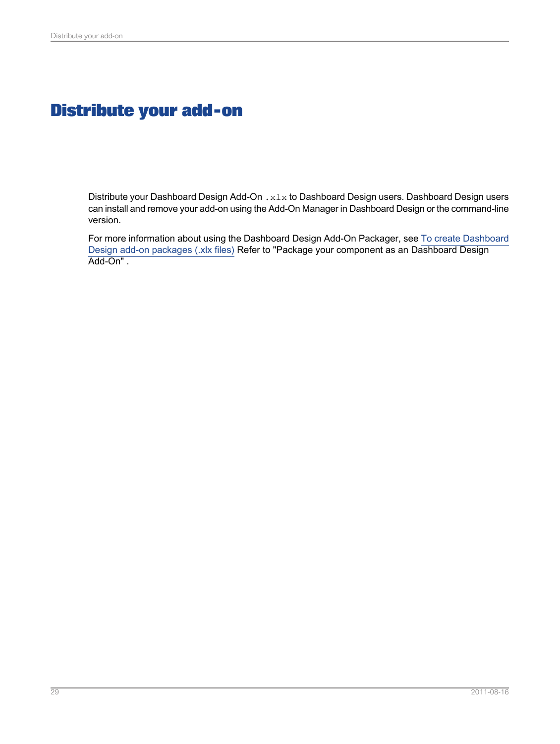# **Distribute your add-on**

<span id="page-28-0"></span>Distribute your Dashboard Design Add-On . x1x to Dashboard Design users. Dashboard Design users can install and remove your add-on using the Add-On Manager in Dashboard Design or the command-line version.

For more information about using the Dashboard Design Add-On Packager, see To create [Dashboard](#page-23-0) Design add-on [packages](#page-23-0) (.xlx files) Refer to "Package your component as an Dashboard Design Add-On" .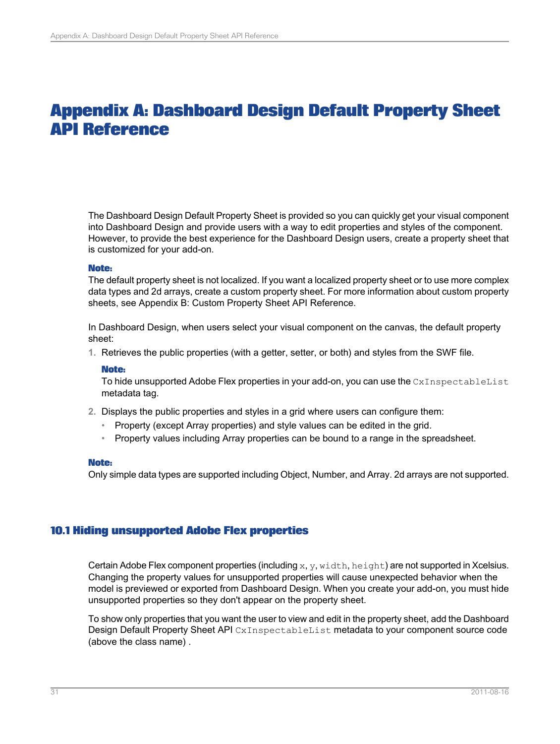# **Appendix A: Dashboard Design Default Property Sheet API Reference**

<span id="page-30-0"></span>The Dashboard Design Default Property Sheet is provided so you can quickly get your visual component into Dashboard Design and provide users with a way to edit properties and styles of the component. However, to provide the best experience for the Dashboard Design users, create a property sheet that is customized for your add-on.

### **Note:**

The default property sheet is not localized. If you want a localized property sheet or to use more complex data types and 2d arrays, create a custom property sheet. For more information about custom property sheets, see Appendix B: Custom Property Sheet API Reference.

In Dashboard Design, when users select your visual component on the canvas, the default property sheet:

**1.** Retrieves the public properties (with a getter, setter, or both) and styles from the SWF file.

### **Note:**

To hide unsupported Adobe Flex properties in your add-on, you can use the CxInspectableList metadata tag.

- **2.** Displays the public properties and styles in a grid where users can configure them:
	- Property (except Array properties) and style values can be edited in the grid.
	- Property values including Array properties can be bound to a range in the spreadsheet.

## **Note:**

<span id="page-30-1"></span>Only simple data types are supported including Object, Number, and Array. 2d arrays are not supported.

## **10.1 Hiding unsupported Adobe Flex properties**

Certain Adobe Flex component properties (including  $x, y, width, height)$  are not supported in Xcelsius. Changing the property values for unsupported properties will cause unexpected behavior when the model is previewed or exported from Dashboard Design. When you create your add-on, you must hide unsupported properties so they don't appear on the property sheet.

To show only properties that you want the user to view and edit in the property sheet, add the Dashboard Design Default Property Sheet API CxInspectableList metadata to your component source code (above the class name) .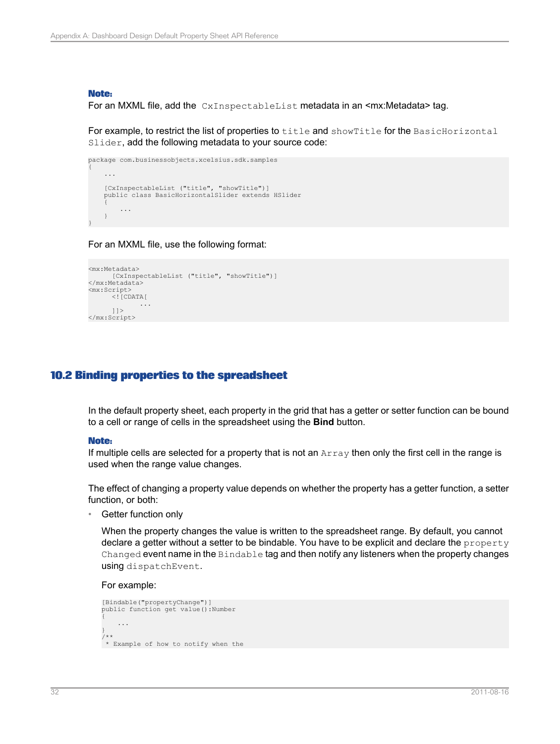### **Note:**

For an MXML file, add the CxInspectableList metadata in an <mx:Metadata> tag.

For example, to restrict the list of properties to title and showTitle for the BasicHorizontal Slider, add the following metadata to your source code:

```
package com.businessobjects.xcelsius.sdk.samples
{
    ...
   [CxInspectableList ("title", "showTitle")]
    public class BasicHorizontalSlider extends HSlider
    {
        ...
    }
}
```
For an MXML file, use the following format:

```
<mx:Metadata>
     [CxInspectableList ("title", "showTitle")]
</mx:Metadata>
<mx:Script>
     \langle [CDATA[
           ...
     |] ></mx:Script>
```
## <span id="page-31-0"></span>**10.2 Binding properties to the spreadsheet**

In the default property sheet, each property in the grid that has a getter or setter function can be bound to a cell or range of cells in the spreadsheet using the **Bind** button.

### **Note:**

If multiple cells are selected for a property that is not an Array then only the first cell in the range is used when the range value changes.

The effect of changing a property value depends on whether the property has a getter function, a setter function, or both:

Getter function only

When the property changes the value is written to the spreadsheet range. By default, you cannot declare a getter without a setter to be bindable. You have to be explicit and declare the property Changed event name in the Bindable tag and then notify any listeners when the property changes using dispatchEvent.

For example:

```
[Bindable("propertyChange")]
public function get value():Number
{
    ...
}
/**
* Example of how to notify when the
```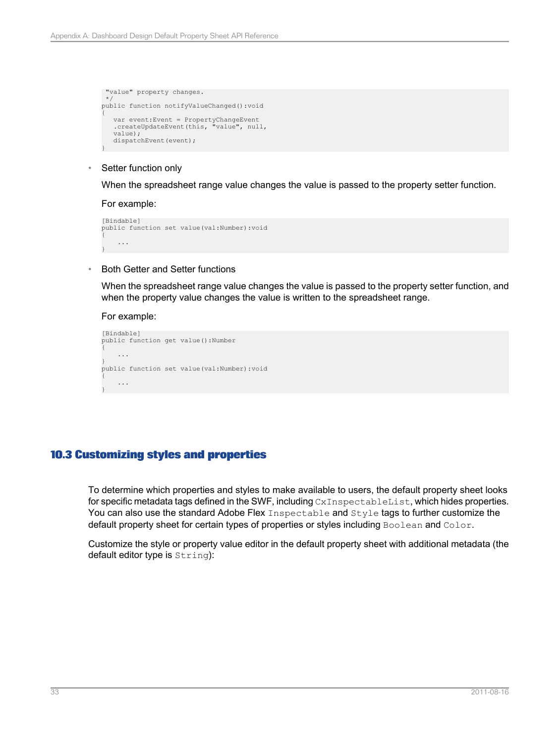```
"value" property changes.
*/
public function notifyValueChanged():void
{
    var event:Event = PropertyChangeEvent
.createUpdateEvent(this, "value", null,
   value);
   dispatchEvent(event);
}
```
• Setter function only

When the spreadsheet range value changes the value is passed to the property setter function.

For example:

```
[Bindable]
public function set value(val:Number):void
{
    ...
}
```
• Both Getter and Setter functions

When the spreadsheet range value changes the value is passed to the property setter function, and when the property value changes the value is written to the spreadsheet range.

For example:

```
[Bindable]
public function get value():Number
{
    ...
}
public function set value(val:Number):void
{
    ...
}
```
## <span id="page-32-0"></span>**10.3 Customizing styles and properties**

To determine which properties and styles to make available to users, the default property sheet looks for specific metadata tags defined in the SWF, including CxInspectableList, which hides properties. You can also use the standard Adobe Flex Inspectable and Style tags to further customize the default property sheet for certain types of properties or styles including Boolean and Color.

Customize the style or property value editor in the default property sheet with additional metadata (the default editor type is  $String)$ :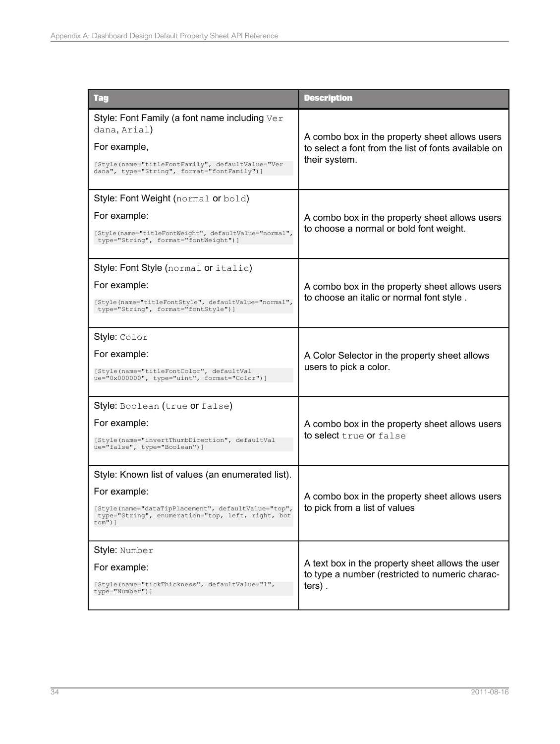| <b>Tag</b>                                                                                                                                                                                 | <b>Description</b>                                                                                                      |
|--------------------------------------------------------------------------------------------------------------------------------------------------------------------------------------------|-------------------------------------------------------------------------------------------------------------------------|
| Style: Font Family (a font name including Ver<br>dana, Arial)<br>For example,<br>[Style(name="titleFontFamily", defaultValue="Ver<br>dana", type="String", format="fontFamily")]           | A combo box in the property sheet allows users<br>to select a font from the list of fonts available on<br>their system. |
| Style: Font Weight (normal or bold)<br>For example:<br>[Style(name="titleFontWeight", defaultValue="normal",<br>type="String", format="fontWeight")]                                       | A combo box in the property sheet allows users<br>to choose a normal or bold font weight.                               |
| Style: Font Style (normal or italic)<br>For example:<br>[Style(name="titleFontStyle", defaultValue="normal",<br>type="String", format="fontStyle")]                                        | A combo box in the property sheet allows users<br>to choose an italic or normal font style.                             |
| Style: Color<br>For example:<br>[Style(name="titleFontColor", defaultVal<br>ue="0x000000", type="uint", format="Color")]                                                                   | A Color Selector in the property sheet allows<br>users to pick a color.                                                 |
| Style: Boolean (true or false)<br>For example:<br>[Style(name="invertThumbDirection", defaultVal<br>ue="false", type="Boolean")]                                                           | A combo box in the property sheet allows users<br>to select true or false                                               |
| Style: Known list of values (an enumerated list).<br>For example:<br>[Style(name="dataTipPlacement", defaultValue="top",<br>type="String", enumeration="top, left, right, bot<br>$t$ om")] | A combo box in the property sheet allows users<br>to pick from a list of values                                         |
| Style: Number<br>For example:<br>[Style(name="tickThickness", defaultValue="1",<br>type="Number")]                                                                                         | A text box in the property sheet allows the user<br>to type a number (restricted to numeric charac-<br>$ters)$ .        |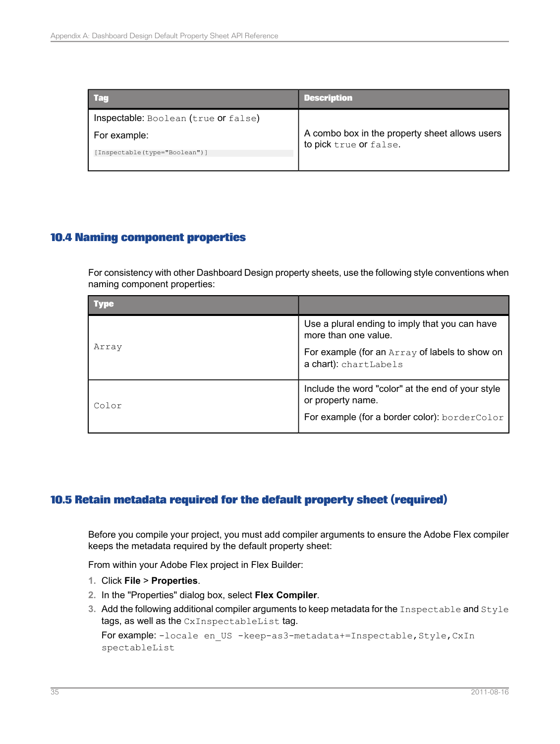| l Tag                                | <b>Description</b>                                                       |
|--------------------------------------|--------------------------------------------------------------------------|
| Inspectable: Boolean (true or false) |                                                                          |
| For example:                         | A combo box in the property sheet allows users<br>to pick true or false. |
| [Inspectable(type="Boolean")]        |                                                                          |

# <span id="page-34-0"></span>**10.4 Naming component properties**

For consistency with other Dashboard Design property sheets, use the following style conventions when naming component properties:

| <b>Type</b> |                                                                         |
|-------------|-------------------------------------------------------------------------|
| Array       | Use a plural ending to imply that you can have<br>more than one value.  |
|             | For example (for an Array of labels to show on<br>a chart): chartLabels |
| Color       | Include the word "color" at the end of your style<br>or property name.  |
|             | For example (for a border color): borderColor                           |

# <span id="page-34-1"></span>**10.5 Retain metadata required for the default property sheet (required)**

Before you compile your project, you must add compiler arguments to ensure the Adobe Flex compiler keeps the metadata required by the default property sheet:

From within your Adobe Flex project in Flex Builder:

- **1.** Click **File** > **Properties**.
- **2.** In the "Properties" dialog box, select **Flex Compiler**.
- **3.** Add the following additional compiler arguments to keep metadata for the Inspectable and Style tags, as well as the CxInspectableList tag.

For example: -locale en US -keep-as3-metadata+=Inspectable, Style, CxIn spectableList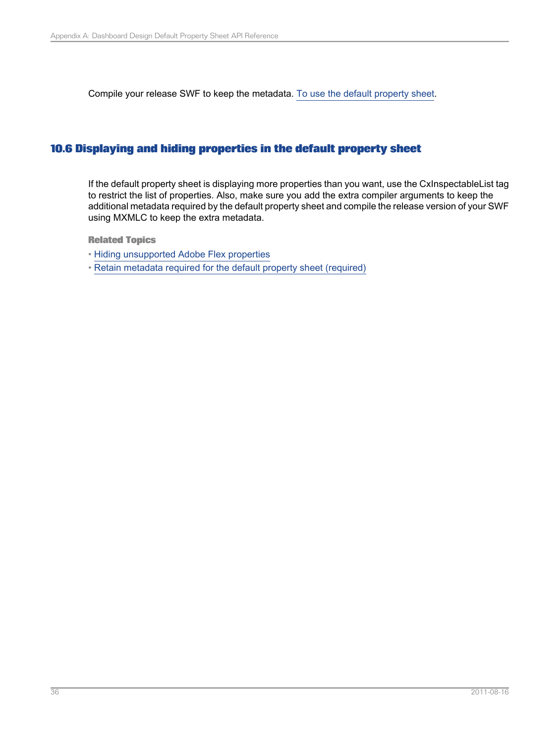Compile your release SWF to keep the metadata. To use the default [property](#page-18-1) sheet.

## <span id="page-35-0"></span>**10.6 Displaying and hiding properties in the default property sheet**

If the default property sheet is displaying more properties than you want, use the CxInspectableList tag to restrict the list of properties. Also, make sure you add the extra compiler arguments to keep the additional metadata required by the default property sheet and compile the release version of your SWF using MXMLC to keep the extra metadata.

**Related Topics**

• Hiding [unsupported](#page-30-1) Adobe Flex properties

• Retain metadata required for the default property sheet [\(required\)](#page-34-1)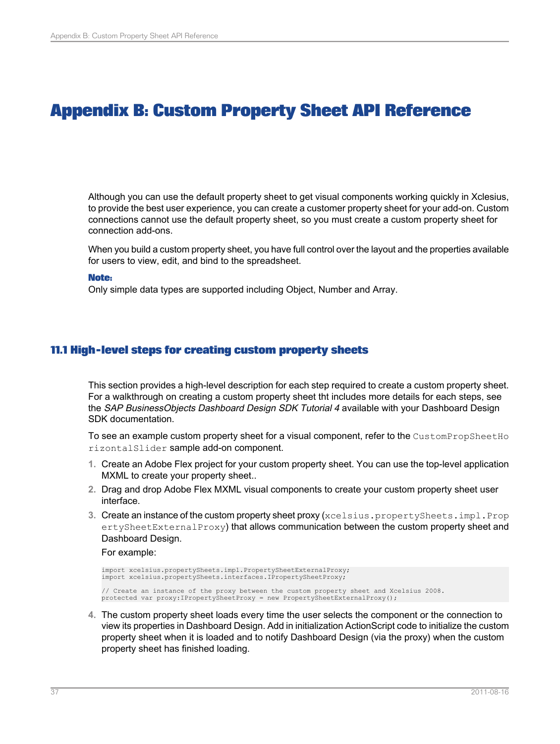# **Appendix B: Custom Property Sheet API Reference**

<span id="page-36-0"></span>Although you can use the default property sheet to get visual components working quickly in Xclesius, to provide the best user experience, you can create a customer property sheet for your add-on. Custom connections cannot use the default property sheet, so you must create a custom property sheet for connection add-ons.

When you build a custom property sheet, you have full control over the layout and the properties available for users to view, edit, and bind to the spreadsheet.

#### **Note:**

Only simple data types are supported including Object, Number and Array.

## <span id="page-36-1"></span>**11.1 High-level steps for creating custom property sheets**

This section provides a high-level description for each step required to create a custom property sheet. For a walkthrough on creating a custom property sheet tht includes more details for each steps, see the SAP BusinessObjects Dashboard Design SDK Tutorial 4 available with your Dashboard Design SDK documentation.

To see an example custom property sheet for a visual component, refer to the CustomPropSheetHo rizontalSlider sample add-on component.

- **1.** Create an Adobe Flex project for your custom property sheet. You can use the top-level application MXML to create your property sheet...
- **2.** Drag and drop Adobe Flex MXML visual components to create your custom property sheet user interface.
- **3.** Create an instance of the custom property sheet proxy (xcelsius.propertySheets.impl.Prop ertySheetExternalProxy) that allows communication between the custom property sheet and Dashboard Design.

For example:

```
import xcelsius.propertySheets.impl.PropertySheetExternalProxy;
import xcelsius.propertySheets.interfaces.IPropertySheetProxy;
// Create an instance of the proxy between the custom property sheet and Xcelsius 2008.
protected var proxy:IPropertySheetProxy = new PropertySheetExternalProxy();
```
**4.** The custom property sheet loads every time the user selects the component or the connection to view its properties in Dashboard Design. Add in initialization ActionScript code to initialize the custom property sheet when it is loaded and to notify Dashboard Design (via the proxy) when the custom property sheet has finished loading.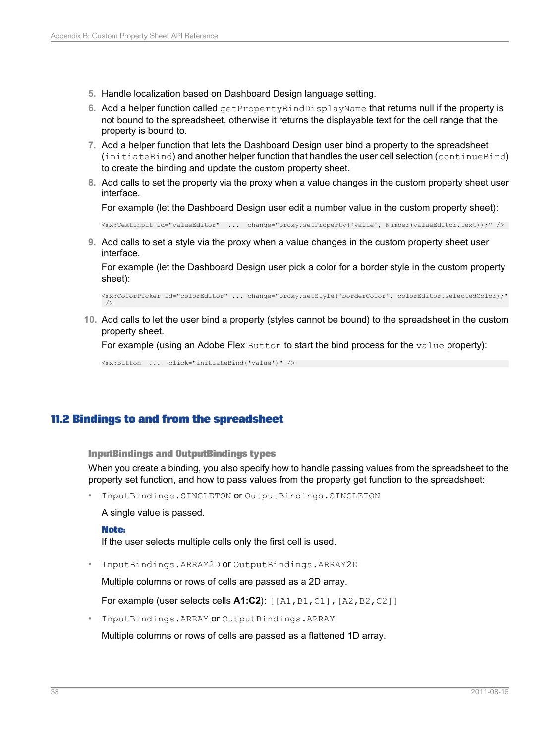- **5.** Handle localization based on Dashboard Design language setting.
- 6. Add a helper function called get PropertyBindDisplayName that returns null if the property is not bound to the spreadsheet, otherwise it returns the displayable text for the cell range that the property is bound to.
- **7.** Add a helper function that lets the Dashboard Design user bind a property to the spreadsheet (initiateBind) and another helper function that handles the user cell selection (continueBind) to create the binding and update the custom property sheet.
- **8.** Add calls to set the property via the proxy when a value changes in the custom property sheet user interface.

For example (let the Dashboard Design user edit a number value in the custom property sheet):

<mx:TextInput id="valueEditor" ... change="proxy.setProperty('value', Number(valueEditor.text));" />

**9.** Add calls to set a style via the proxy when a value changes in the custom property sheet user interface.

For example (let the Dashboard Design user pick a color for a border style in the custom property sheet):

<mx:ColorPicker id="colorEditor" ... change="proxy.setStyle('borderColor', colorEditor.selectedColor);"  $/$ 

**10.** Add calls to let the user bind a property (styles cannot be bound) to the spreadsheet in the custom property sheet.

For example (using an Adobe Flex Button to start the bind process for the value property):

<mx:Button ... click="initiateBind('value')" />

## <span id="page-37-0"></span>**11.2 Bindings to and from the spreadsheet**

**InputBindings and OutputBindings types**

When you create a binding, you also specify how to handle passing values from the spreadsheet to the property set function, and how to pass values from the property get function to the spreadsheet:

• InputBindings.SINGLETON or OutputBindings.SINGLETON

A single value is passed.

### **Note:**

If the user selects multiple cells only the first cell is used.

• InputBindings.ARRAY2D or OutputBindings.ARRAY2D

Multiple columns or rows of cells are passed as a 2D array.

For example (user selects cells **A1:C2**): [[A1,B1,C1],[A2,B2,C2]]

• InputBindings.ARRAY or OutputBindings.ARRAY

Multiple columns or rows of cells are passed as a flattened 1D array.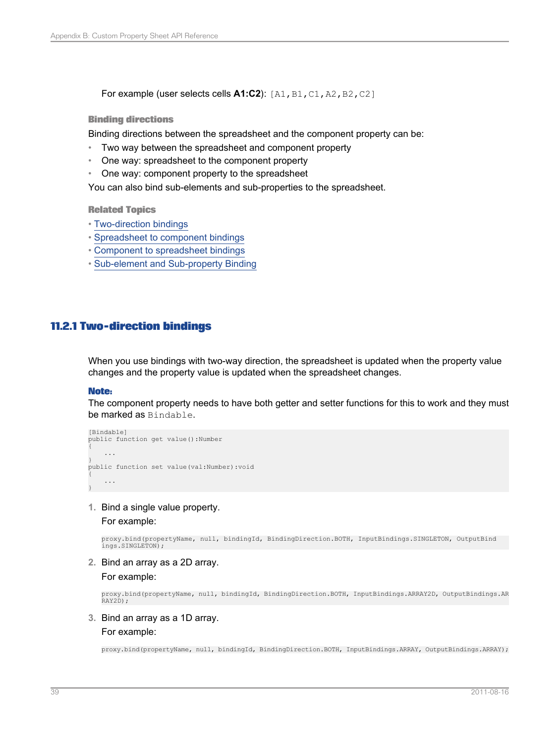**For example (user selects cells A1:C2):** [A1, B1, C1, A2, B2, C2]

#### **Binding directions**

Binding directions between the spreadsheet and the component property can be:

- Two way between the spreadsheet and component property
- One way: spreadsheet to the component property
- One way: component property to the spreadsheet

You can also bind sub-elements and sub-properties to the spreadsheet.

#### **Related Topics**

- [Two-direction](#page-38-0) bindings
- [Spreadsheet](#page-39-0) to component bindings
- Component to [spreadsheet](#page-39-1) bindings
- Sub-element and [Sub-property](#page-40-0) Binding

## <span id="page-38-0"></span>**11.2.1 Two-direction bindings**

When you use bindings with two-way direction, the spreadsheet is updated when the property value changes and the property value is updated when the spreadsheet changes.

#### **Note:**

The component property needs to have both getter and setter functions for this to work and they must be marked as Bindable.

```
[Bindable]
public function get value():Number
{
    ...
}
public function set value(val:Number):void
{
    ...
}
```
**1.** Bind a single value property.

For example:

proxy.bind(propertyName, null, bindingId, BindingDirection.BOTH, InputBindings.SINGLETON, OutputBind ings.SINGLETON);

**2.** Bind an array as a 2D array.

For example:

proxy.bind(propertyName, null, bindingId, BindingDirection.BOTH, InputBindings.ARRAY2D, OutputBindings.AR RAY2D);

## **3.** Bind an array as a 1D array.

#### For example:

proxy.bind(propertyName, null, bindingId, BindingDirection.BOTH, InputBindings.ARRAY, OutputBindings.ARRAY);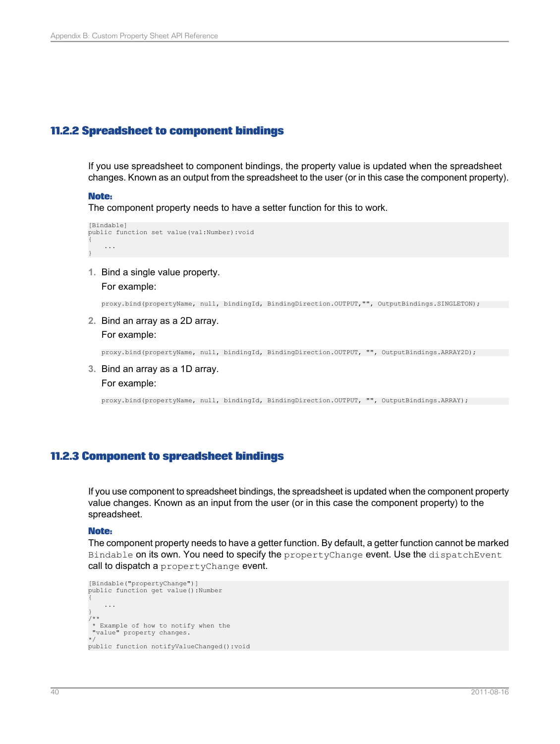## <span id="page-39-0"></span>**11.2.2 Spreadsheet to component bindings**

If you use spreadsheet to component bindings, the property value is updated when the spreadsheet changes. Known as an output from the spreadsheet to the user (or in this case the component property).

#### **Note:**

The component property needs to have a setter function for this to work.

```
[Bindable]
public function set value(val:Number):void
{
    ...
}
```
**1.** Bind a single value property.

```
For example:
```
proxy.bind(propertyName, null, bindingId, BindingDirection.OUTPUT,"", OutputBindings.SINGLETON);

**2.** Bind an array as a 2D array. For example:

proxy.bind(propertyName, null, bindingId, BindingDirection.OUTPUT, "", OutputBindings.ARRAY2D);

**3.** Bind an array as a 1D array. For example:

proxy.bind(propertyName, null, bindingId, BindingDirection.OUTPUT, "", OutputBindings.ARRAY);

## <span id="page-39-1"></span>**11.2.3 Component to spreadsheet bindings**

If you use component to spreadsheet bindings, the spreadsheet is updated when the component property value changes. Known as an input from the user (or in this case the component property) to the spreadsheet.

### **Note:**

The component property needs to have a getter function. By default, a getter function cannot be marked Bindable on its own. You need to specify the propertyChange event. Use the dispatchEvent call to dispatch a propertyChange event.

```
[Bindable("propertyChange")]
public function get value():Number
{
    ...
}
/**
* Example of how to notify when the
"value" property changes.
*/
public function notifyValueChanged():void
```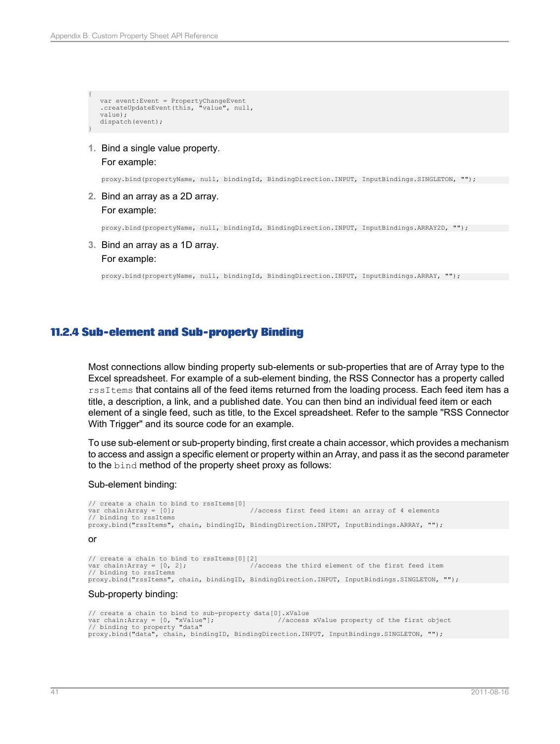```
{
    var event:Event = PropertyChangeEvent
.createUpdateEvent(this, "value", null,
    value);
    dispatch(event);
```
**1.** Bind a single value property.

#### For example:

}

proxy.bind(propertyName, null, bindingId, BindingDirection.INPUT, InputBindings.SINGLETON, "");

**2.** Bind an array as a 2D array. For example:

proxy.bind(propertyName, null, bindingId, BindingDirection.INPUT, InputBindings.ARRAY2D, "");

**3.** Bind an array as a 1D array.

#### For example:

proxy.bind(propertyName, null, bindingId, BindingDirection.INPUT, InputBindings.ARRAY, "");

## <span id="page-40-0"></span>**11.2.4 Sub-element and Sub-property Binding**

Most connections allow binding property sub-elements or sub-properties that are of Array type to the Excel spreadsheet. For example of a sub-element binding, the RSS Connector has a property called rssItems that contains all of the feed items returned from the loading process. Each feed item has a title, a description, a link, and a published date. You can then bind an individual feed item or each element of a single feed, such as title, to the Excel spreadsheet. Refer to the sample "RSS Connector With Trigger" and its source code for an example.

To use sub-element or sub-property binding, first create a chain accessor, which provides a mechanism to access and assign a specific element or property within an Array, and pass it as the second parameter to the bind method of the property sheet proxy as follows:

#### Sub-element binding:

```
// create a chain to bind to rssItems[0]<br>var chain:Array = [0]:
                                              //access first feed item: an array of 4 elements
// binding to rssItems
proxy.bind("rssItems", chain, bindingID, BindingDirection.INPUT, InputBindings.ARRAY, "");
or
```

```
// create a chain to bind to rssItems[0][2] var chain: Array = [0, 2];
                                                      \sqrt{2} //access the third element of the first feed item
// binding to rssItems
proxy.bind("rssItems", chain, bindingID, BindingDirection.INPUT, InputBindings.SINGLETON, "");
```
#### Sub-property binding:

```
// create a chain to bind to sub-property data[0].xValue var chain:Array = [0, "xValue"]; //access
                                                         //access xValue property of the first object
// binding to property "data"
proxy.bind("data", chain, bindingID, BindingDirection.INPUT, InputBindings.SINGLETON, "");
```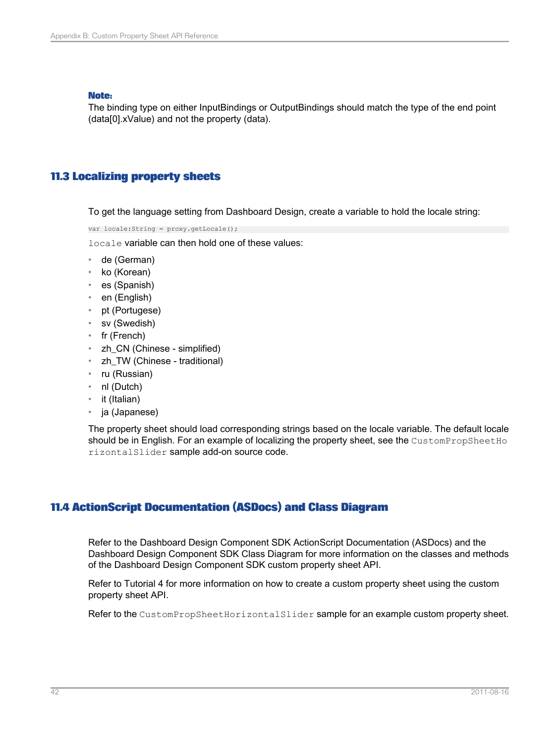### **Note:**

The binding type on either InputBindings or OutputBindings should match the type of the end point (data[0].xValue) and not the property (data).

# <span id="page-41-0"></span>**11.3 Localizing property sheets**

To get the language setting from Dashboard Design, create a variable to hold the locale string:

var locale:String = proxy.getLocale();

locale variable can then hold one of these values:

- de (German)
- ko (Korean)
- es (Spanish)
- en (English)
- pt (Portugese)
- sv (Swedish)
- fr (French)
- zh\_CN (Chinese simplified)
- zh TW (Chinese traditional)
- ru (Russian)
- nl (Dutch)
- it (Italian)
- ja (Japanese)

<span id="page-41-1"></span>The property sheet should load corresponding strings based on the locale variable. The default locale should be in English. For an example of localizing the property sheet, see the CustomPropSheetHo rizontalSlider sample add-on source code.

# **11.4 ActionScript Documentation (ASDocs) and Class Diagram**

Refer to the Dashboard Design Component SDK ActionScript Documentation (ASDocs) and the Dashboard Design Component SDK Class Diagram for more information on the classes and methods of the Dashboard Design Component SDK custom property sheet API.

Refer to Tutorial 4 for more information on how to create a custom property sheet using the custom property sheet API.

Refer to the CustomPropSheetHorizontalSlider sample for an example custom property sheet.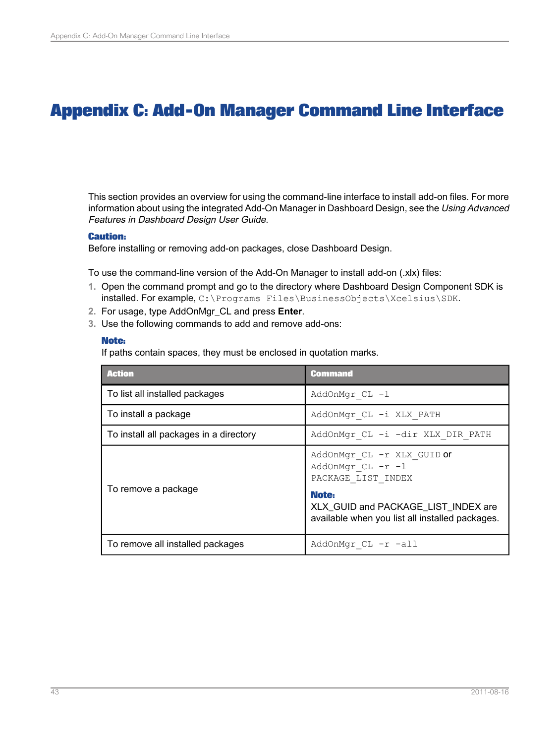# **Appendix C: Add-On Manager Command Line Interface**

<span id="page-42-0"></span>This section provides an overview for using the command-line interface to install add-on files. For more information about using the integrated Add-On Manager in Dashboard Design, see the Using Advanced Features in Dashboard Design User Guide.

### **Caution:**

Before installing or removing add-on packages, close Dashboard Design.

To use the command-line version of the Add-On Manager to install add-on (.xlx) files:

- **1.** Open the command prompt and go to the directory where Dashboard Design Component SDK is installed. For example, C:\Programs Files\BusinessObjects\Xcelsius\SDK.
- **2.** For usage, type AddOnMgr\_CL and press **Enter**.
- **3.** Use the following commands to add and remove add-ons:

### **Note:**

If paths contain spaces, they must be enclosed in quotation marks.

| <b>Action</b>                          | <b>Command</b>                                                                                                                                                           |
|----------------------------------------|--------------------------------------------------------------------------------------------------------------------------------------------------------------------------|
| To list all installed packages         | AddOnMgr CL -1                                                                                                                                                           |
| To install a package                   | AddOnMgr CL -i XLX PATH                                                                                                                                                  |
| To install all packages in a directory | AddOnMgr CL -i -dir XLX DIR PATH                                                                                                                                         |
| To remove a package                    | AddOnMgr CL -r XLX GUID or<br>AddOnMgr CL -r -1<br>PACKAGE LIST INDEX<br>Note:<br>XLX GUID and PACKAGE LIST INDEX are<br>available when you list all installed packages. |
| To remove all installed packages       | AddOnMgr CL -r -all                                                                                                                                                      |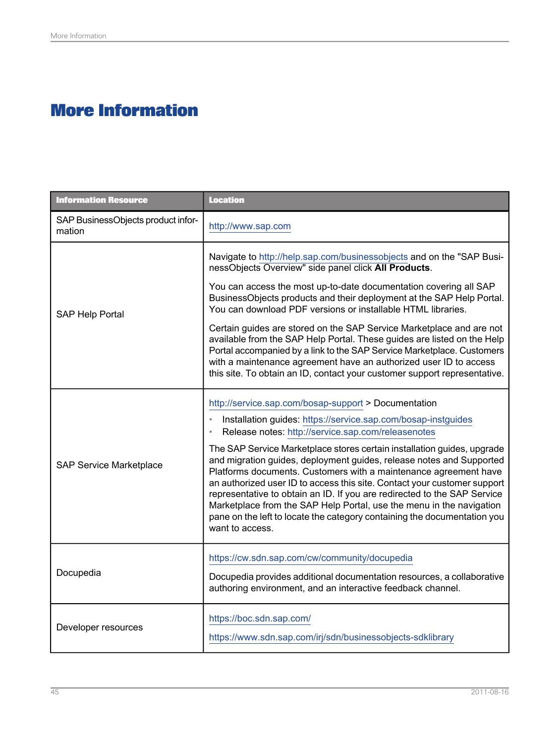# **More Information**

<span id="page-44-0"></span>

| <b>Information Resource</b>                  | <b>Location</b>                                                                                                                                                                                                                                                                                                                                                                                                                                                                                                                                                                                                                                                                                                                   |
|----------------------------------------------|-----------------------------------------------------------------------------------------------------------------------------------------------------------------------------------------------------------------------------------------------------------------------------------------------------------------------------------------------------------------------------------------------------------------------------------------------------------------------------------------------------------------------------------------------------------------------------------------------------------------------------------------------------------------------------------------------------------------------------------|
| SAP BusinessObjects product infor-<br>mation | http://www.sap.com                                                                                                                                                                                                                                                                                                                                                                                                                                                                                                                                                                                                                                                                                                                |
| <b>SAP Help Portal</b>                       | Navigate to http://help.sap.com/businessobjects and on the "SAP Busi-<br>nessObjects Overview" side panel click All Products.<br>You can access the most up-to-date documentation covering all SAP<br>BusinessObjects products and their deployment at the SAP Help Portal.<br>You can download PDF versions or installable HTML libraries.<br>Certain guides are stored on the SAP Service Marketplace and are not<br>available from the SAP Help Portal. These guides are listed on the Help<br>Portal accompanied by a link to the SAP Service Marketplace. Customers<br>with a maintenance agreement have an authorized user ID to access<br>this site. To obtain an ID, contact your customer support representative.        |
| <b>SAP Service Marketplace</b>               | http://service.sap.com/bosap-support > Documentation<br>Installation guides: https://service.sap.com/bosap-instguides<br>Release notes: http://service.sap.com/releasenotes<br>The SAP Service Marketplace stores certain installation guides, upgrade<br>and migration guides, deployment guides, release notes and Supported<br>Platforms documents. Customers with a maintenance agreement have<br>an authorized user ID to access this site. Contact your customer support<br>representative to obtain an ID. If you are redirected to the SAP Service<br>Marketplace from the SAP Help Portal, use the menu in the navigation<br>pane on the left to locate the category containing the documentation you<br>want to access. |
| Docupedia                                    | https://cw.sdn.sap.com/cw/community/docupedia<br>Docupedia provides additional documentation resources, a collaborative<br>authoring environment, and an interactive feedback channel.                                                                                                                                                                                                                                                                                                                                                                                                                                                                                                                                            |
| Developer resources                          | https://boc.sdn.sap.com/<br>https://www.sdn.sap.com/irj/sdn/businessobjects-sdklibrary                                                                                                                                                                                                                                                                                                                                                                                                                                                                                                                                                                                                                                            |